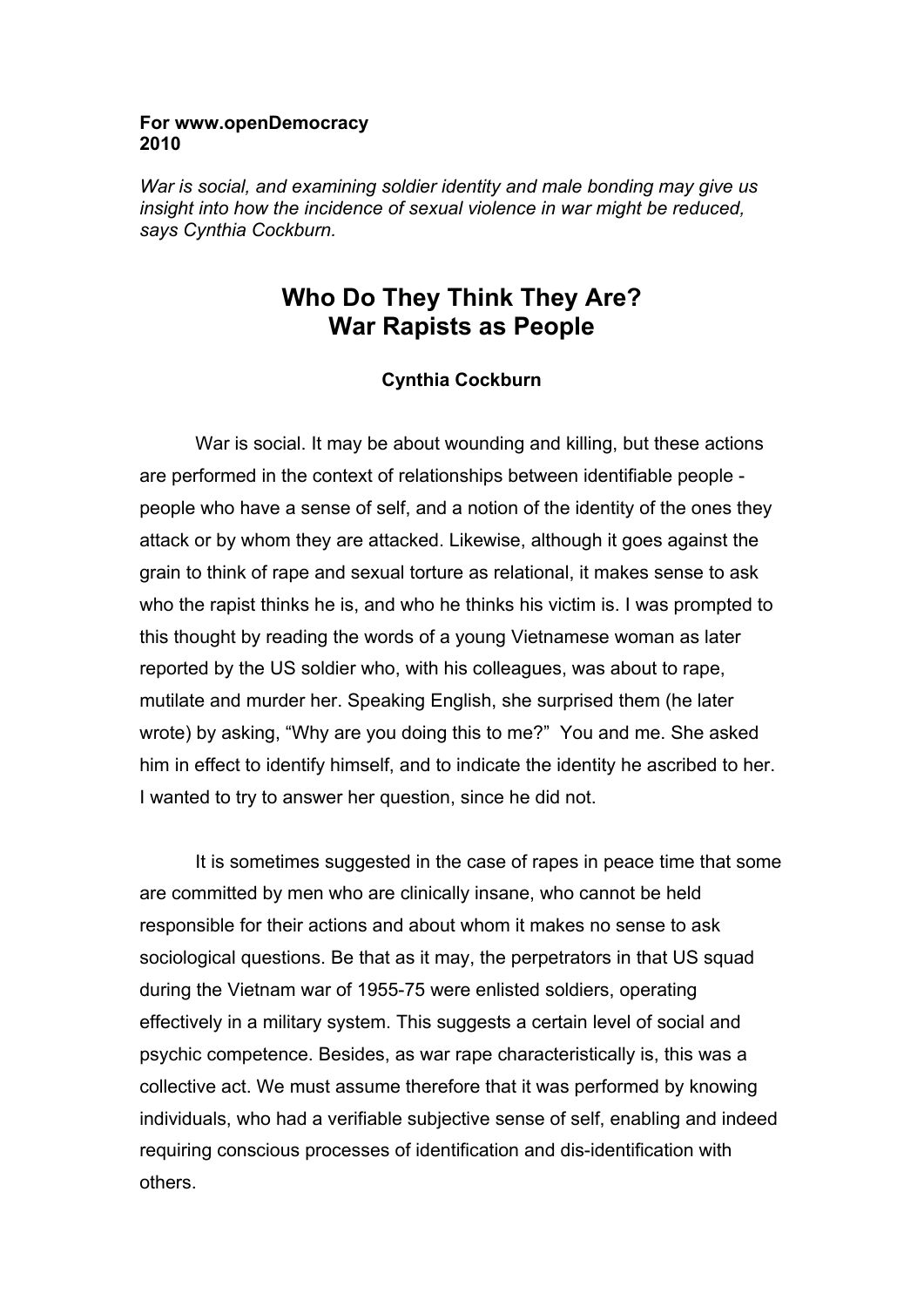## **For www.openDemocracy 2010**

*War is social, and examining soldier identity and male bonding may give us insight into how the incidence of sexual violence in war might be reduced, says Cynthia Cockburn.* 

## **Who Do They Think They Are? War Rapists as People**

## **Cynthia Cockburn**

War is social. It may be about wounding and killing, but these actions are performed in the context of relationships between identifiable people people who have a sense of self, and a notion of the identity of the ones they attack or by whom they are attacked. Likewise, although it goes against the grain to think of rape and sexual torture as relational, it makes sense to ask who the rapist thinks he is, and who he thinks his victim is. I was prompted to this thought by reading the words of a young Vietnamese woman as later reported by the US soldier who, with his colleagues, was about to rape, mutilate and murder her. Speaking English, she surprised them (he later wrote) by asking, "Why are you doing this to me?" You and me. She asked him in effect to identify himself, and to indicate the identity he ascribed to her. I wanted to try to answer her question, since he did not.

 It is sometimes suggested in the case of rapes in peace time that some are committed by men who are clinically insane, who cannot be held responsible for their actions and about whom it makes no sense to ask sociological questions. Be that as it may, the perpetrators in that US squad during the Vietnam war of 1955-75 were enlisted soldiers, operating effectively in a military system. This suggests a certain level of social and psychic competence. Besides, as war rape characteristically is, this was a collective act. We must assume therefore that it was performed by knowing individuals, who had a verifiable subjective sense of self, enabling and indeed requiring conscious processes of identification and dis-identification with others.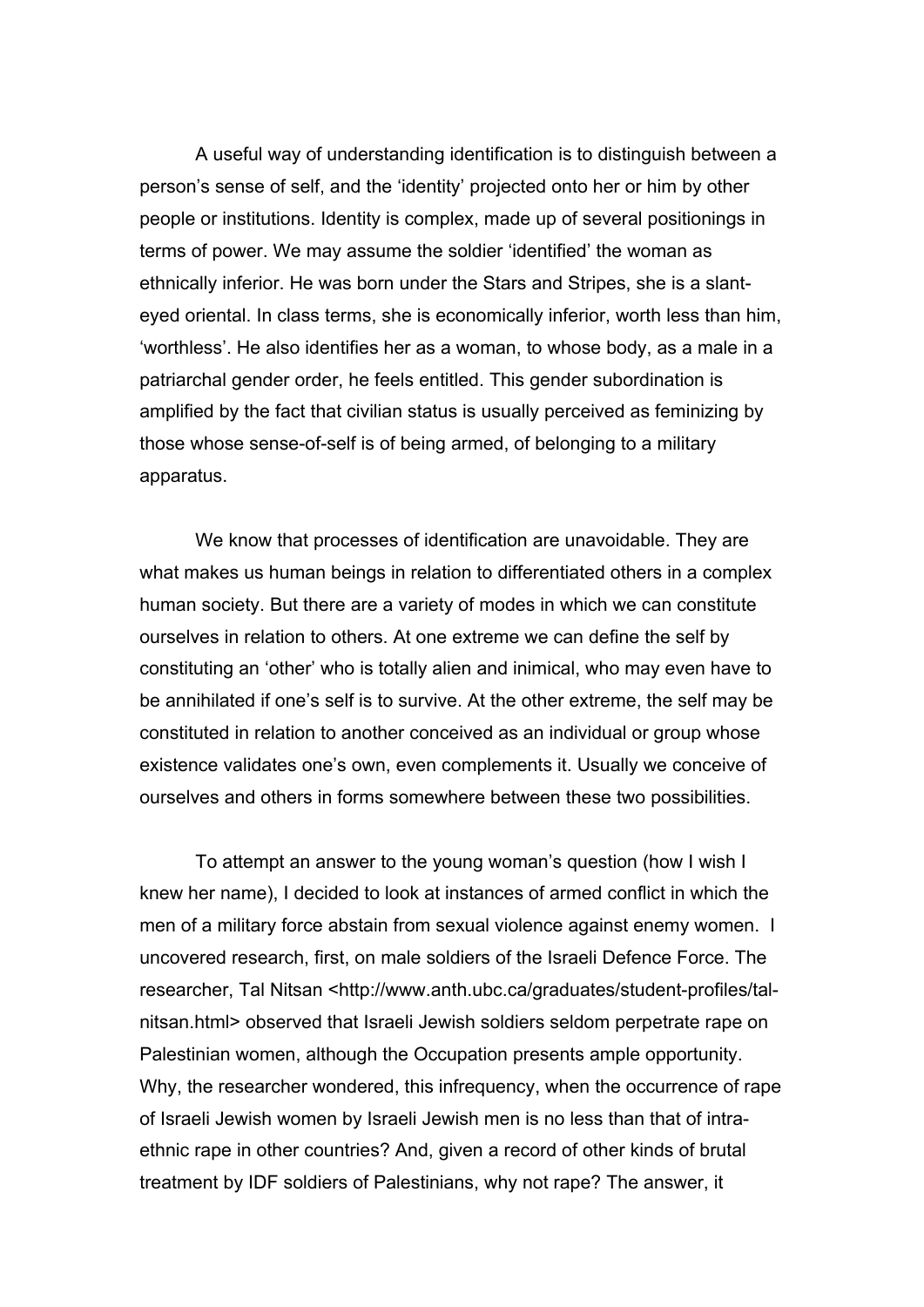A useful way of understanding identification is to distinguish between a person's sense of self, and the 'identity' projected onto her or him by other people or institutions. Identity is complex, made up of several positionings in terms of power. We may assume the soldier 'identified' the woman as ethnically inferior. He was born under the Stars and Stripes, she is a slanteyed oriental. In class terms, she is economically inferior, worth less than him, 'worthless'. He also identifies her as a woman, to whose body, as a male in a patriarchal gender order, he feels entitled. This gender subordination is amplified by the fact that civilian status is usually perceived as feminizing by those whose sense-of-self is of being armed, of belonging to a military apparatus.

 We know that processes of identification are unavoidable. They are what makes us human beings in relation to differentiated others in a complex human society. But there are a variety of modes in which we can constitute ourselves in relation to others. At one extreme we can define the self by constituting an 'other' who is totally alien and inimical, who may even have to be annihilated if one's self is to survive. At the other extreme, the self may be constituted in relation to another conceived as an individual or group whose existence validates one's own, even complements it. Usually we conceive of ourselves and others in forms somewhere between these two possibilities.

 To attempt an answer to the young woman's question (how I wish I knew her name), I decided to look at instances of armed conflict in which the men of a military force abstain from sexual violence against enemy women. I uncovered research, first, on male soldiers of the Israeli Defence Force. The researcher, Tal Nitsan <http://www.anth.ubc.ca/graduates/student-profiles/talnitsan.html> observed that Israeli Jewish soldiers seldom perpetrate rape on Palestinian women, although the Occupation presents ample opportunity. Why, the researcher wondered, this infrequency, when the occurrence of rape of Israeli Jewish women by Israeli Jewish men is no less than that of intraethnic rape in other countries? And, given a record of other kinds of brutal treatment by IDF soldiers of Palestinians, why not rape? The answer, it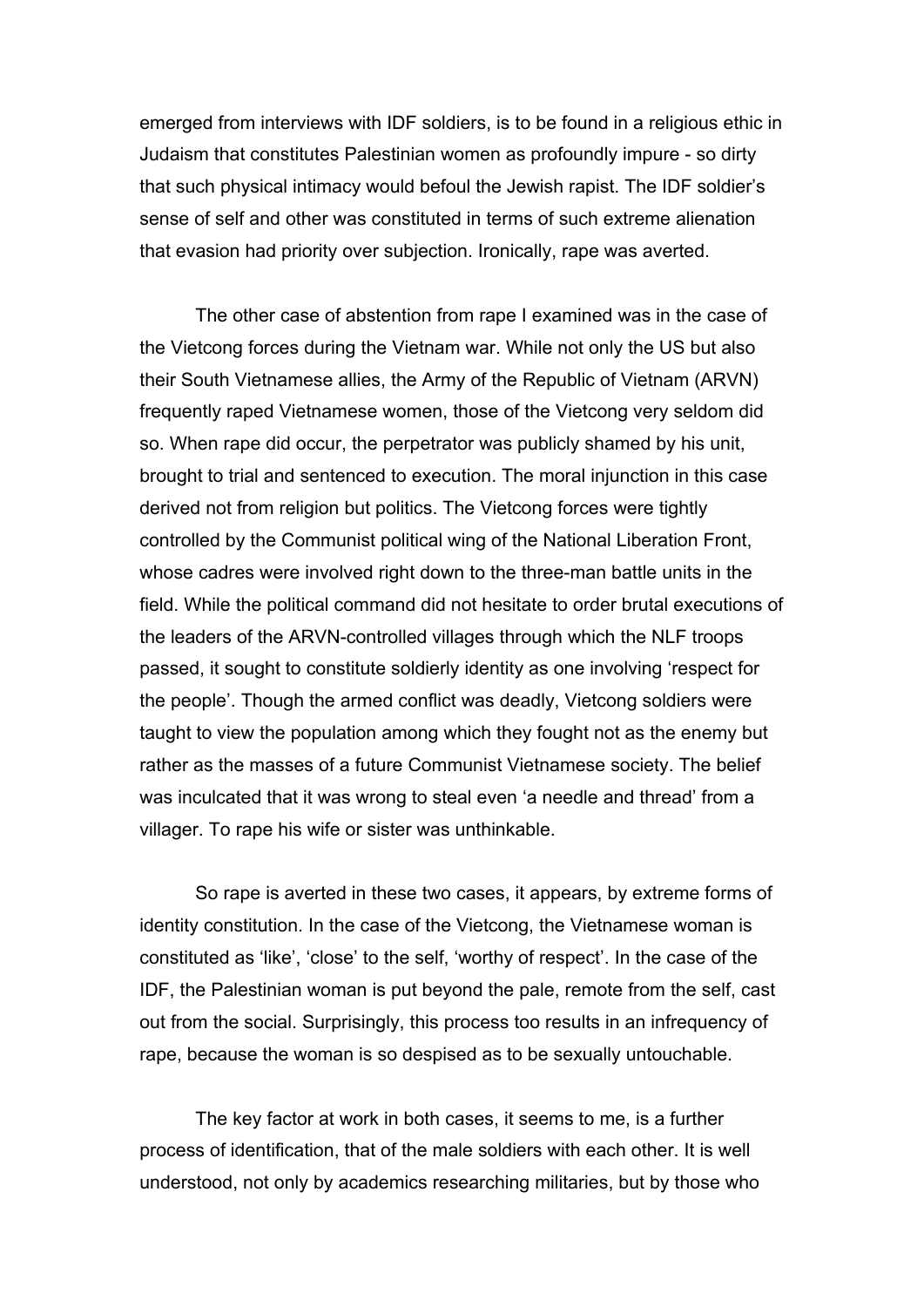emerged from interviews with IDF soldiers, is to be found in a religious ethic in Judaism that constitutes Palestinian women as profoundly impure - so dirty that such physical intimacy would befoul the Jewish rapist. The IDF soldier's sense of self and other was constituted in terms of such extreme alienation that evasion had priority over subjection. Ironically, rape was averted.

 The other case of abstention from rape I examined was in the case of the Vietcong forces during the Vietnam war. While not only the US but also their South Vietnamese allies, the Army of the Republic of Vietnam (ARVN) frequently raped Vietnamese women, those of the Vietcong very seldom did so. When rape did occur, the perpetrator was publicly shamed by his unit, brought to trial and sentenced to execution. The moral injunction in this case derived not from religion but politics. The Vietcong forces were tightly controlled by the Communist political wing of the National Liberation Front, whose cadres were involved right down to the three-man battle units in the field. While the political command did not hesitate to order brutal executions of the leaders of the ARVN-controlled villages through which the NLF troops passed, it sought to constitute soldierly identity as one involving 'respect for the people'. Though the armed conflict was deadly, Vietcong soldiers were taught to view the population among which they fought not as the enemy but rather as the masses of a future Communist Vietnamese society. The belief was inculcated that it was wrong to steal even 'a needle and thread' from a villager. To rape his wife or sister was unthinkable.

 So rape is averted in these two cases, it appears, by extreme forms of identity constitution. In the case of the Vietcong, the Vietnamese woman is constituted as 'like', 'close' to the self, 'worthy of respect'. In the case of the IDF, the Palestinian woman is put beyond the pale, remote from the self, cast out from the social. Surprisingly, this process too results in an infrequency of rape, because the woman is so despised as to be sexually untouchable.

The key factor at work in both cases, it seems to me, is a further process of identification, that of the male soldiers with each other. It is well understood, not only by academics researching militaries, but by those who